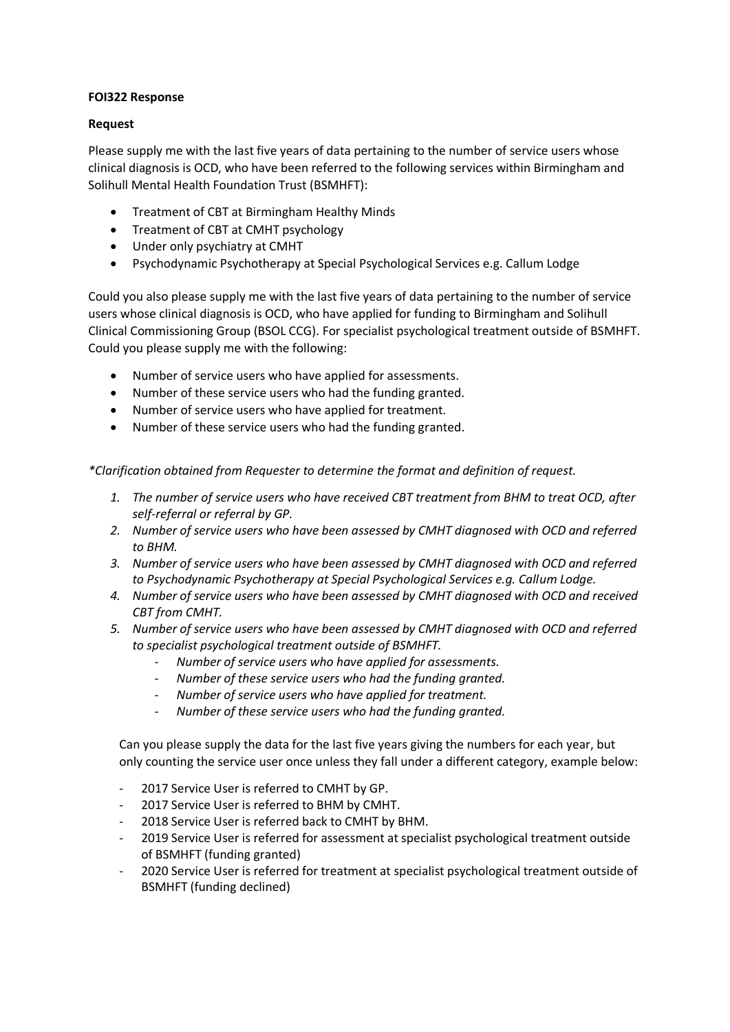## **FOI322 Response**

## **Request**

Please supply me with the last five years of data pertaining to the number of service users whose clinical diagnosis is OCD, who have been referred to the following services within Birmingham and Solihull Mental Health Foundation Trust (BSMHFT):

- Treatment of CBT at Birmingham Healthy Minds
- Treatment of CBT at CMHT psychology
- Under only psychiatry at CMHT
- Psychodynamic Psychotherapy at Special Psychological Services e.g. Callum Lodge

Could you also please supply me with the last five years of data pertaining to the number of service users whose clinical diagnosis is OCD, who have applied for funding to Birmingham and Solihull Clinical Commissioning Group (BSOL CCG). For specialist psychological treatment outside of BSMHFT. Could you please supply me with the following:

- Number of service users who have applied for assessments.
- Number of these service users who had the funding granted.
- Number of service users who have applied for treatment.
- Number of these service users who had the funding granted.

*\*Clarification obtained from Requester to determine the format and definition of request.* 

- *1. The number of service users who have received CBT treatment from BHM to treat OCD, after self-referral or referral by GP.*
- *2. Number of service users who have been assessed by CMHT diagnosed with OCD and referred to BHM.*
- *3. Number of service users who have been assessed by CMHT diagnosed with OCD and referred to Psychodynamic Psychotherapy at Special Psychological Services e.g. Callum Lodge.*
- *4. Number of service users who have been assessed by CMHT diagnosed with OCD and received CBT from CMHT.*
- *5. Number of service users who have been assessed by CMHT diagnosed with OCD and referred to specialist psychological treatment outside of BSMHFT.*
	- *Number of service users who have applied for assessments.*
	- *Number of these service users who had the funding granted.*
	- *Number of service users who have applied for treatment.*
	- *Number of these service users who had the funding granted.*

Can you please supply the data for the last five years giving the numbers for each year, but only counting the service user once unless they fall under a different category, example below:

- 2017 Service User is referred to CMHT by GP.
- 2017 Service User is referred to BHM by CMHT.
- 2018 Service User is referred back to CMHT by BHM.
- 2019 Service User is referred for assessment at specialist psychological treatment outside of BSMHFT (funding granted)
- 2020 Service User is referred for treatment at specialist psychological treatment outside of BSMHFT (funding declined)